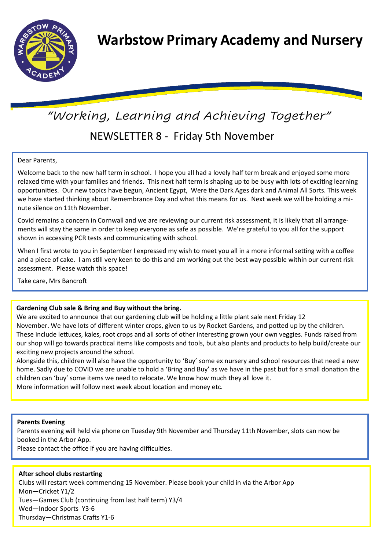

# *"Working, Learning and Achieving Together"*

# NEWSLETTER 8 - Friday 5th November

### Dear Parents,

Welcome back to the new half term in school. I hope you all had a lovely half term break and enjoyed some more relaxed time with your families and friends. This next half term is shaping up to be busy with lots of exciting learning opportunities. Our new topics have begun, Ancient Egypt, Were the Dark Ages dark and Animal All Sorts. This week we have started thinking about Remembrance Day and what this means for us. Next week we will be holding a minute silence on 11th November.

Covid remains a concern in Cornwall and we are reviewing our current risk assessment, it is likely that all arrangements will stay the same in order to keep everyone as safe as possible. We're grateful to you all for the support shown in accessing PCR tests and communicating with school.

When I first wrote to you in September I expressed my wish to meet you all in a more informal setting with a coffee and a piece of cake. I am still very keen to do this and am working out the best way possible within our current risk assessment. Please watch this space!

Take care, Mrs Bancroft

# **Gardening Club sale & Bring and Buy without the bring.**

We are excited to announce that our gardening club will be holding a little plant sale next Friday 12 November. We have lots of different winter crops, given to us by Rocket Gardens, and potted up by the children. These include lettuces, kales, root crops and all sorts of other interesting grown your own veggies. Funds raised from our shop will go towards practical items like composts and tools, but also plants and products to help build/create our exciting new projects around the school.

Alongside this, children will also have the opportunity to 'Buy' some ex nursery and school resources that need a new home. Sadly due to COVID we are unable to hold a 'Bring and Buy' as we have in the past but for a small donation the children can 'buy' some items we need to relocate. We know how much they all love it. More information will follow next week about location and money etc.

#### **Parents Evening**

Parents evening will held via phone on Tuesday 9th November and Thursday 11th November, slots can now be booked in the Arbor App.

Please contact the office if you are having difficulties.

# **After school clubs restarting**

Clubs will restart week commencing 15 November. Please book your child in via the Arbor App Mon—Cricket Y1/2 Tues—Games Club (continuing from last half term) Y3/4 Wed—Indoor Sports Y3-6 Thursday—Christmas Crafts Y1-6